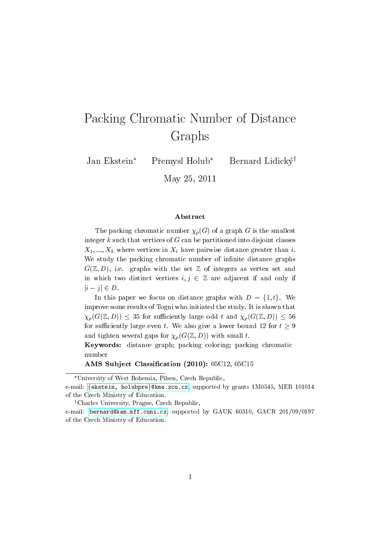# Packing Chromatic Number of Distance Graphs

Jan Ekstein\* Přemysl Holub\* Bernard Lidicky<sup>†</sup>

May 25, 2011

#### Abstract

The packing chromatic number  $\chi_{\rho}(G)$  of a graph G is the smallest integer  $k$  such that vertices of  $G$  can be partitioned into disjoint classes  $X_1, ..., X_k$  where vertices in  $X_i$  have pairwise distance greater than i. We study the packing chromatic number of infinite distance graphs  $G(\mathbb{Z}, D)$ , i.e. graphs with the set  $\mathbb Z$  of integers as vertex set and in which two distinct vertices  $i, j \in \mathbb{Z}$  are adjacent if and only if  $|i - j| \in D$ .

In this paper we focus on distance graphs with  $D = \{1, t\}$ . We improve some results of Togni who initiated the study. It is shown that  $\chi_{\rho}(G(\mathbb{Z}, D)) \leq 35$  for sufficiently large odd t and  $\chi_{\rho}(G(\mathbb{Z}, D)) \leq 56$ for sufficiently large even t. We also give a lower bound 12 for  $t \geq 9$ and tighten several gaps for  $\chi_{\rho}(G(\mathbb{Z}, D))$  with small t.

Keywords: distance graph; packing coloring; packing chromatic number

AMS Subject Classication (2010): 05C12, 05C15

<sup>†</sup>Charles University, Prague, Czech Republic,

University of West Bohemia, Pilsen, Czech Republic,

e-mail: {ekstein, holubpre}@kma.zcu.cz, supported by grants 1M0545, MEB 101014 of the Czech Ministry of Education.

e-mail: [bernard@kam.mff.cuni.cz,](mailto:bernard@kam.mff.cuni.cz) supported by GAUK 60310, GACR 201/09/0197 of the Czech Ministry of Education.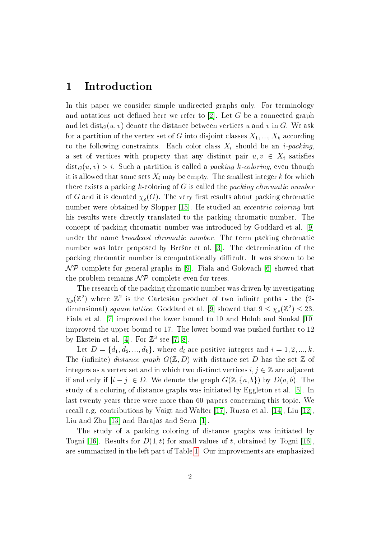## 1 Introduction

In this paper we consider simple undirected graphs only. For terminology and notations not defined here we refer to  $[2]$ . Let G be a connected graph and let dist<sub>G</sub> $(u, v)$  denote the distance between vertices u and v in G. We ask for a partition of the vertex set of G into disjoint classes  $X_1, ..., X_k$  according to the following constraints. Each color class  $X_i$  should be an *i-packing*, a set of vertices with property that any distinct pair  $u, v \in X_i$  satisfies  $dist_G(u, v) > i$ . Such a partition is called a *packing k-coloring*, even though it is allowed that some sets  $X_i$  may be empty. The smallest integer k for which there exists a packing  $k$ -coloring of  $G$  is called the packing chromatic number of G and it is denoted  $\chi_{\rho}(G)$ . The very first results about packing chromatic number were obtained by Slopper [\[15\]](#page-12-0). He studied an *eccentric coloring* but his results were directly translated to the packing chromatic number. The concept of packing chromatic number was introduced by Goddard et al. [\[9\]](#page-11-1) under the name broadcast chromatic number. The term packing chromatic number was later proposed by Bresar et al. [\[3\]](#page-11-2). The determination of the packing chromatic number is computationally difficult. It was shown to be  $\mathcal{NP}$ -complete for general graphs in [\[9\]](#page-11-1). Fiala and Golovach [\[6\]](#page-11-3) showed that the problem remains  $\mathcal{NP}$ -complete even for trees.

The research of the packing chromatic number was driven by investigating  $\chi_{\rho}(\mathbb{Z}^2)$  where  $\mathbb{Z}^2$  is the Cartesian product of two infinite paths - the (2-dimensional) square lattice. Goddard et al. [\[9\]](#page-11-1) showed that  $9 \leq \chi_{\rho}(\mathbb{Z}^2) \leq 23$ . Fiala et al. [\[7\]](#page-11-4) improved the lower bound to 10 and Holub and Soukal [\[10\]](#page-11-5) improved the upper bound to 17. The lower bound was pushed further to 12 by Ekstein et al. [\[4\]](#page-11-6). For  $\mathbb{Z}^3$  see [\[7,](#page-11-4) [8\]](#page-11-7).

Let  $D = \{d_1, d_2, ..., d_k\}$ , where  $d_i$  are positive integers and  $i = 1, 2, ..., k$ . The (infinite) distance graph  $G(\mathbb{Z}, D)$  with distance set D has the set  $\mathbb Z$  of integers as a vertex set and in which two distinct vertices  $i, j \in \mathbb{Z}$  are adjacent if and only if  $|i - j| \in D$ . We denote the graph  $G(\mathbb{Z}, \{a, b\})$  by  $D(a, b)$ . The study of a coloring of distance graphs was initiated by Eggleton et al. [\[5\]](#page-11-8). In last twenty years there were more than 60 papers concerning this topic. We recall e.g. contributions by Voigt and Walter [\[17\]](#page-12-1), Ruzsa et al. [\[14\]](#page-12-2), Liu [\[12\]](#page-11-9), Liu and Zhu [\[13\]](#page-12-3) and Barajas and Serra [\[1\]](#page-11-10).

The study of a packing coloring of distance graphs was initiated by Togni [\[16\]](#page-12-4). Results for  $D(1, t)$  for small values of t, obtained by Togni [16]. are summarized in the left part of Table [1.](#page-2-0) Our improvements are emphasized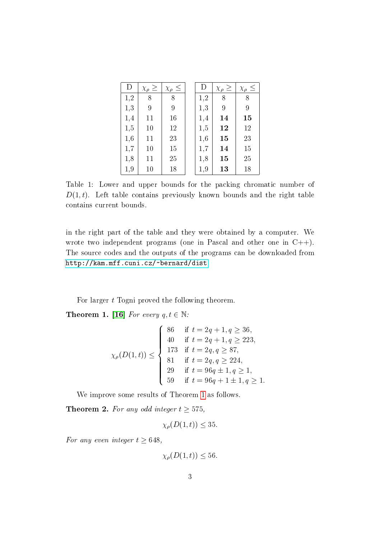| D   | $\chi_{\rho} \geq$ | $\chi_{\rho} \leq$ | D   | $\chi_{\rho} \geq$ | $\chi_{\rho} \leq$ |
|-----|--------------------|--------------------|-----|--------------------|--------------------|
| 1,2 | 8                  | 8                  | 1,2 | 8                  | 8                  |
| 1,3 | 9                  | 9                  | 1,3 | 9                  | 9                  |
| 1,4 | 11                 | 16                 | 1,4 | 14                 | $15\,$             |
| 1,5 | 10                 | 12                 | 1,5 | 12                 | 12                 |
| 1,6 | 11                 | 23                 | 1,6 | 15                 | 23                 |
| 1,7 | 10                 | 15                 | 1,7 | 14                 | 15                 |
| 1,8 | 11                 | 25                 | 1,8 | 15                 | 25                 |
| 1,9 | 10                 | 18                 | 1,9 | 13                 | 18                 |

<span id="page-2-0"></span>Table 1: Lower and upper bounds for the packing chromatic number of  $D(1, t)$ . Left table contains previously known bounds and the right table contains current bounds.

in the right part of the table and they were obtained by a computer. We wrote two independent programs (one in Pascal and other one in  $C++$ ). The source codes and the outputs of the programs can be downloaded from [http://kam.mff.cuni.cz/~bernard/dist.](http://kam.mff.cuni.cz/~bernard/dist)

For larger  $t$  Togni proved the following theorem.

<span id="page-2-1"></span>**Theorem 1.** [\[16\]](#page-12-4) For every  $q, t \in \mathbb{N}$ :

$$
\chi_{\rho}(D(1,t)) \leq \begin{cases}\n86 & \text{if } t = 2q + 1, q \geq 36, \\
40 & \text{if } t = 2q + 1, q \geq 223, \\
173 & \text{if } t = 2q, q \geq 87, \\
81 & \text{if } t = 2q, q \geq 224, \\
29 & \text{if } t = 96q + 1, q \geq 1, \\
59 & \text{if } t = 96q + 1 \pm 1, q \geq 1.\n\end{cases}
$$

We improve some results of Theorem [1](#page-2-1) as follows.

<span id="page-2-2"></span>**Theorem 2.** For any odd integer  $t \ge 575$ ,

$$
\chi_{\rho}(D(1,t)) \leq 35.
$$

For any even integer  $t \geq 648$ ,

$$
\chi_{\rho}(D(1,t)) \leq 56.
$$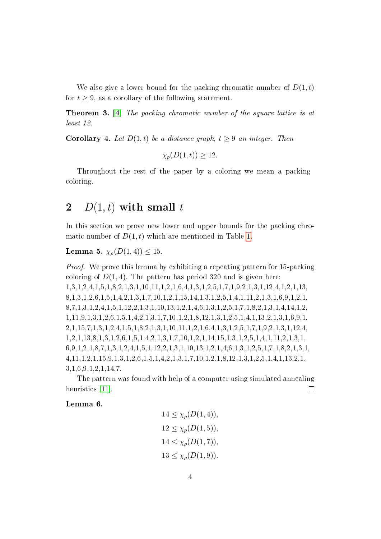We also give a lower bound for the packing chromatic number of  $D(1,t)$ for  $t > 9$ , as a corollary of the following statement.

<span id="page-3-2"></span>Theorem 3. [\[4\]](#page-11-6) The packing chromatic number of the square lattice is at least 12.

<span id="page-3-1"></span>**Corollary 4.** Let  $D(1, t)$  be a distance graph,  $t > 9$  an integer. Then

 $\chi_{\rho}(D(1,t)) > 12.$ 

Throughout the rest of the paper by a coloring we mean a packing coloring.

## 2  $D(1,t)$  with small t

In this section we prove new lower and upper bounds for the packing chromatic number of  $D(1, t)$  which are mentioned in Table [1.](#page-2-0)

### **Lemma 5.**  $\chi_{\rho}(D(1, 4)) \leq 15$ .

Proof. We prove this lemma by exhibiting a repeating pattern for 15-packing coloring of  $D(1, 4)$ . The pattern has period 320 and is given here: 1,3,1,2,4,1,5,1,8,2,1,3,1,10,11,1,2,1,6,4,1,3,1,2,5,1,7,1,9,2,1,3,1,12,4,1,2,1,13, 8,1,3,1,2,6,1,5,1,4,2,1,3,1,7,10,1,2,1,15,14,1,3,1,2,5,1,4,1,11,2,1,3,1,6,9,1,2,1, 8,7,1,3,1,2,4,1,5,1,12,2,1,3,1,10,13,1,2,1,4,6,1,3,1,2,5,1,7,1,8,2,1,3,1,4,14,1,2, 1,11,9,1,3,1,2,6,1,5,1,4,2,1,3,1,7,10,1,2,1,8,12,1,3,1,2,5,1,4,1,13,2,1,3,1,6,9,1, 2,1,15,7,1,3,1,2,4,1,5,1,8,2,1,3,1,10,11,1,2,1,6,4,1,3,1,2,5,1,7,1,9,2,1,3,1,12,4, 1,2,1,13,8,1,3,1,2,6,1,5,1,4,2,1,3,1,7,10,1,2,1,14,15,1,3,1,2,5,1,4,1,11,2,1,3,1, 6,9,1,2,1,8,7,1,3,1,2,4,1,5,1,12,2,1,3,1,10,13,1,2,1,4,6,1,3,1,2,5,1,7,1,8,2,1,3,1, 4,11,1,2,1,15,9,1,3,1,2,6,1,5,1,4,2,1,3,1,7,10,1,2,1,8,12,1,3,1,2,5,1,4,1,13,2,1, 3,1,6,9,1,2,1,14,7.

The pattern was found with help of a computer using simulated annealing heuristics [\[11\]](#page-11-11).  $\Box$ 

### <span id="page-3-0"></span>Lemma 6.

$$
14 \le \chi_{\rho}(D(1, 4)),
$$
  
\n
$$
12 \le \chi_{\rho}(D(1, 5)),
$$
  
\n
$$
14 \le \chi_{\rho}(D(1, 7)),
$$
  
\n
$$
13 \le \chi_{\rho}(D(1, 9)).
$$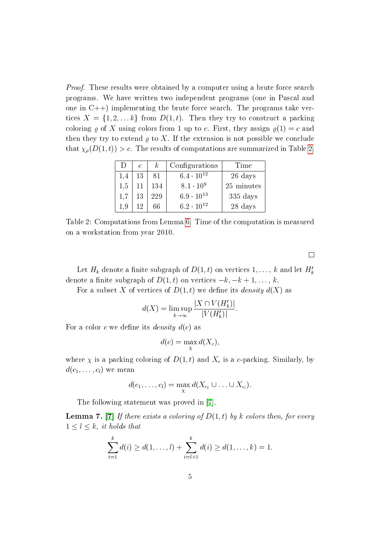*Proof.* These results were obtained by a computer using a brute force search programs. We have written two independent programs (one in Pascal and one in  $C++$ ) implementing the brute force search. The programs take vertices  $X = \{1, 2, \ldots k\}$  from  $D(1, t)$ . Then they try to construct a packing coloring  $\rho$  of X using colors from 1 up to c. First, they assign  $\rho(1) = c$  and then they try to extend  $\varrho$  to X. If the extension is not possible we conclude that  $\chi_{\rho}(D(1,t)) > c$ . The results of computations are summarized in Table [2.](#page-4-0)

| $\Box$ | $\mathcal{C}$ | $\kappa$ | Configurations      | Time                |
|--------|---------------|----------|---------------------|---------------------|
| 1,4    | 13            | 81       | $6.4 \cdot 10^{12}$ | 26 days             |
| 1.5    |               | 134      | $8.1 \cdot 10^{9}$  | 25 minutes          |
| 1,7    | 13            | 229      | $6.9 \cdot 10^{13}$ | $335 \mathrm{days}$ |
| 1.9    | 19.           | 66       | $6.2 \cdot 10^{12}$ | 28 days             |

<span id="page-4-0"></span>Table 2: Computations from Lemma [6.](#page-3-0) Time of the computation is measured on a workstation from year 2010.

 $\Box$ 

Let  $H_k$  denote a finite subgraph of  $D(1,t)$  on vertices  $1,\ldots,\,k$  and let  $H_k^t$ denote a finite subgraph of  $D(1, t)$  on vertices  $-k, -k+1, \ldots, k$ .

For a subset X of vertices of  $D(1, t)$  we define its *density*  $d(X)$  as

$$
d(X) = \limsup_{k \to \infty} \frac{|X \cap V(H'_k)|}{|V(H'_k)|}.
$$

For a color c we define its *density*  $d(c)$  as

$$
d(c) = \max_{\chi} d(X_c),
$$

where  $\chi$  is a packing coloring of  $D(1, t)$  and  $X_c$  is a c-packing. Similarly, by  $d(c_1, \ldots, c_l)$  we mean

$$
d(c_1,\ldots,c_l)=\max_{\chi}d(X_{c_1}\cup\ldots\cup X_{c_l}).
$$

The following statement was proved in [\[7\]](#page-11-4).

<span id="page-4-1"></span>**Lemma 7.** [\[7\]](#page-11-4) If there exists a coloring of  $D(1,t)$  by k colors then, for every  $1 \leq l \leq k$ , it holds that

$$
\sum_{i=1}^{k} d(i) \geq d(1,\ldots,l) + \sum_{i=l+1}^{k} d(i) \geq d(1,\ldots,k) = 1.
$$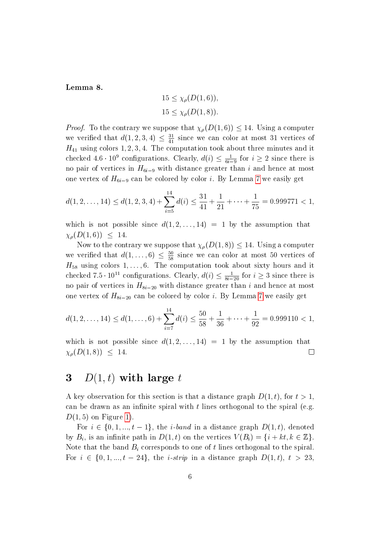Lemma 8.

$$
15 \le \chi_{\rho}(D(1,6)),
$$
  

$$
15 \le \chi_{\rho}(D(1,8)).
$$

*Proof.* To the contrary we suppose that  $\chi_{\rho}(D(1,6)) \leq 14$ . Using a computer we verified that  $d(1, 2, 3, 4) \leq \frac{31}{41}$  since we can color at most 31 vertices of  $H_{41}$  using colors 1, 2, 3, 4. The computation took about three minutes and it checked  $4.6 \cdot 10^9$  configurations. Clearly,  $d(i) \leq \frac{1}{6i-9}$  for  $i \geq 2$  since there is no pair of vertices in  $H_{6i-9}$  with distance greater than i and hence at most one vertex of  $H_{6i-9}$  can be colored by color i. By Lemma [7](#page-4-1) we easily get

$$
d(1, 2, \ldots, 14) \le d(1, 2, 3, 4) + \sum_{i=5}^{14} d(i) \le \frac{31}{41} + \frac{1}{21} + \cdots + \frac{1}{75} = 0.999771 < 1,
$$

which is not possible since  $d(1, 2, \ldots, 14) = 1$  by the assumption that  $\chi_{\rho}(D(1,6)) \leq 14.$ 

Now to the contrary we suppose that  $\chi_{\rho}(D(1,8)) \leq 14$ . Using a computer we verified that  $d(1,\ldots,6) \leq \frac{50}{58}$  since we can color at most 50 vertices of  $H_{58}$  using colors 1,..., 6. The computation took about sixty hours and it checked  $7.5 \cdot 10^{11}$  configurations. Clearly,  $d(i) \le \frac{1}{8i-20}$  for  $i \ge 3$  since there is no pair of vertices in  $H_{8i-20}$  with distance greater than i and hence at most one vertex of  $H_{8i-20}$  can be colored by color i. By Lemma [7](#page-4-1) we easily get

$$
d(1, 2, \ldots, 14) \le d(1, \ldots, 6) + \sum_{i=7}^{14} d(i) \le \frac{50}{58} + \frac{1}{36} + \cdots + \frac{1}{92} = 0.999110 < 1,
$$

which is not possible since  $d(1, 2, \ldots, 14) = 1$  by the assumption that  $\chi_{\rho}(D(1, 8)) \leq 14.$  $\Box$ 

## 3  $D(1,t)$  with large t

A key observation for this section is that a distance graph  $D(1, t)$ , for  $t > 1$ . can be drawn as an infinite spiral with  $t$  lines orthogonal to the spiral (e.g.  $D(1, 5)$  on Figure [1\)](#page-6-0).

For  $i \in \{0, 1, ..., t-1\}$ , the *i-band* in a distance graph  $D(1, t)$ , denoted by  $B_i$ , is an infinite path in  $D(1,t)$  on the vertices  $V(B_i) = \{i + kt, k \in \mathbb{Z}\}.$ Note that the band  $B_i$  corresponds to one of t lines orthogonal to the spiral. For  $i \in \{0, 1, ..., t - 24\}$ , the *i-strip* in a distance graph  $D(1, t)$ ,  $t > 23$ ,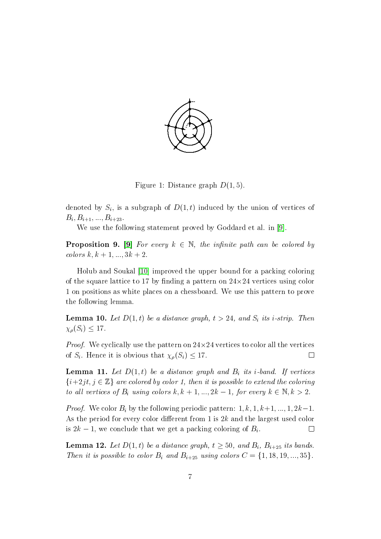

<span id="page-6-0"></span>Figure 1: Distance graph  $D(1, 5)$ .

denoted by  $S_i,$  is a subgraph of  $D(1,t)$  induced by the union of vertices of  $B_i, B_{i+1}, ..., B_{i+23}.$ 

We use the following statement proved by Goddard et al. in [\[9\]](#page-11-1).

<span id="page-6-4"></span>**Proposition 9.** [\[9\]](#page-11-1) For every  $k \in \mathbb{N}$ , the infinite path can be colored by colors  $k, k + 1, ..., 3k + 2$ .

Holub and Soukal [\[10\]](#page-11-5) improved the upper bound for a packing coloring of the square lattice to 17 by finding a pattern on  $24{\times}24$  vertices using color 1 on positions as white places on a chessboard. We use this pattern to prove the following lemma.

<span id="page-6-2"></span>**Lemma 10.** Let  $D(1,t)$  be a distance graph,  $t > 24$ , and  $S_i$  its *i*-strip. Then  $\chi_{\rho}(S_i) \leq 17.$ 

*Proof.* We cyclically use the pattern on  $24 \times 24$  vertices to color all the vertices of  $S_i$ . Hence it is obvious that  $\chi_{\rho}(S_i) \leq 17$ .  $\Box$ 

<span id="page-6-1"></span>**Lemma 11.** Let  $D(1,t)$  be a distance graph and  $B_i$  its *i*-band. If vertices  $\{i+2jt, j \in \mathbb{Z}\}\$ are colored by color 1, then it is possible to extend the coloring to all vertices of  $B_i$  using colors  $k, k + 1, ..., 2k - 1$ , for every  $k \in \mathbb{N}, k > 2$ .

*Proof.* We color  $B_i$  by the following periodic pattern:  $1, k, 1, k+1, ..., 1, 2k-1$ . As the period for every color different from 1 is  $2k$  and the largest used color is  $2k-1$ , we conclude that we get a packing coloring of  $B_i$ .  $\Box$ 

<span id="page-6-3"></span>**Lemma 12.** Let  $D(1,t)$  be a distance graph,  $t \ge 50$ , and  $B_i$ ,  $B_{i+25}$  its bands. Then it is possible to color  $B_i$  and  $B_{i+25}$  using colors  $C = \{1, 18, 19, ..., 35\}.$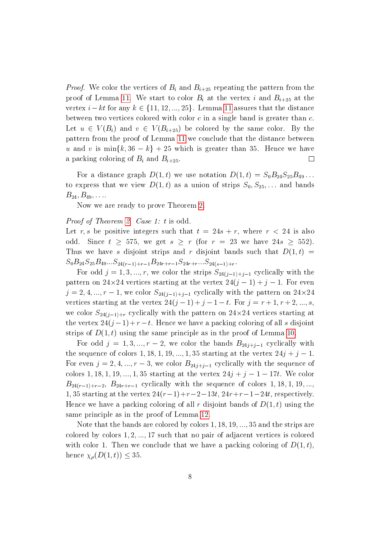*Proof.* We color the vertices of  $B_i$  and  $B_{i+25}$  repeating the pattern from the proof of Lemma [11.](#page-6-1) We start to color  $B_i$  at the vertex i and  $B_{i+25}$  at the vertex  $i - kt$  for any  $k \in \{11, 12, ..., 25\}$ . Lemma [11](#page-6-1) assures that the distance between two vertices colored with color  $c$  in a single band is greater than  $c$ . Let  $u \in V(B_i)$  and  $v \in V(B_{i+25})$  be colored by the same color. By the pattern from the proof of Lemma [11](#page-6-1) we conclude that the distance between u and v is min $\{k, 36 - k\}$  + 25 which is greater than 35. Hence we have a packing coloring of  $B_i$  and  $B_{i+25}$ .  $\Box$ 

For a distance graph  $D(1, t)$  we use notation  $D(1, t) = S_0 B_{24} S_{25} B_{49} \ldots$ to express that we view  $D(1, t)$  as a union of strips  $S_0, S_{25}, \ldots$  and bands  $B_{24}, B_{49}, \ldots$ 

Now we are ready to prove Theorem [2.](#page-2-2)

#### Proof of Theorem [2.](#page-2-2) Case 1: t is odd.

Let r, s be positive integers such that  $t = 24s + r$ , where  $r < 24$  is also odd. Since  $t \geq 575$ , we get  $s \geq r$  (for  $r = 23$  we have  $24s \geq 552$ ). Thus we have s disjoint strips and r disjoint bands such that  $D(1, t)$  =  $S_0B_{24}S_{25}B_{49}...S_{24(r-1)+r-1}B_{24r+r-1}S_{24r+r}...S_{24(s-1)+r}$ 

For odd  $j = 1, 3, ..., r$ , we color the strips  $S_{24(j-1)+j-1}$  cyclically with the pattern on  $24\times 24$  vertices starting at the vertex  $24(j-1)+j-1.$  For even  $j = 2, 4, ..., r - 1$ , we color  $S_{24(j-1)+j-1}$  cyclically with the pattern on  $24 \times 24$ vertices starting at the vertex  $24(j - 1) + j - 1 - t$ . For  $j = r + 1, r + 2, ..., s$ , we color  $S_{24(j-1)+r}$  cyclically with the pattern on  $24\times24$  vertices starting at the vertex  $24(j-1)+r-t$ . Hence we have a packing coloring of all s disjoint strips of  $D(1,t)$  using the same principle as in the proof of Lemma [10.](#page-6-2)

For odd  $j = 1, 3, ..., r - 2$ , we color the bands  $B_{24j+j-1}$  cyclically with the sequence of colors 1, 18, 1, 19, ..., 1, 35 starting at the vertex  $24j + j - 1$ . For even  $j = 2, 4, ..., r - 3$ , we color  $B_{24j+j-1}$  cyclically with the sequence of colors 1, 18, 1, 19, ..., 1, 35 starting at the vertex  $24j + j - 1 - 17t$ . We color  $B_{24(r-1)+r-2}, B_{24r+r-1}$  cyclically with the sequence of colors 1, 18, 1, 19, ... 1, 35 starting at the vertex  $24(r-1)+r-2-13t$ ,  $24r+r-1-24t$ , respectively. Hence we have a packing coloring of all r disjoint bands of  $D(1, t)$  using the same principle as in the proof of Lemma [12.](#page-6-3)

Note that the bands are colored by colors  $1, 18, 19, \ldots, 35$  and the strips are colored by colors  $1, 2, ..., 17$  such that no pair of adjacent vertices is colored with color 1. Then we conclude that we have a packing coloring of  $D(1,t)$ . hence  $\chi_{\rho}(D(1,t)) \leq 35$ .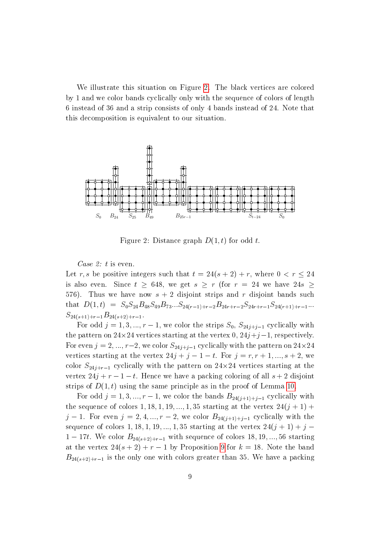We illustrate this situation on Figure [2.](#page-8-0) The black vertices are colored by 1 and we color bands cyclically only with the sequence of colors of length 6 instead of 36 and a strip consists of only 4 bands instead of 24. Note that this decomposition is equivalent to our situation.



<span id="page-8-0"></span>Figure 2: Distance graph  $D(1, t)$  for odd t.

Case 2: t is even.

Let r, s be positive integers such that  $t = 24(s + 2) + r$ , where  $0 < r \leq 24$ is also even. Since  $t \geq 648$ , we get  $s \geq r$  (for  $r = 24$  we have  $24s \geq$ 576). Thus we have now  $s + 2$  disjoint strips and r disjoint bands such that  $D(1,t) = S_0S_{24}B_{48}S_{49}B_{73}...S_{24(r-1)+r-2}B_{24r+r-2}S_{24r+r-1}S_{24(r+1)+r-1}...$  $S_{24(s+1)+r-1}B_{24(s+2)+r-1}.$ 

For odd  $j = 1, 3, ..., r - 1$ , we color the strips  $S_0$ ,  $S_{24j+j-1}$  cyclically with the pattern on  $24\times24$  vertices starting at the vertex  $0, 24j+j-1,$  respectively. For even  $j = 2, ..., r-2$ , we color  $S_{24j+j-1}$  cyclically with the pattern on  $24\times24$ vertices starting at the vertex  $24j + j - 1 - t$ . For  $j = r, r + 1, ..., s + 2$ , we color  $S_{24j+r-1}$  cyclically with the pattern on  $24\times 24$  vertices starting at the vertex  $24j + r - 1 - t$ . Hence we have a packing coloring of all  $s + 2$  disjoint strips of  $D(1, t)$  using the same principle as in the proof of Lemma [10.](#page-6-2)

For odd  $j = 1, 3, ..., r - 1$ , we color the bands  $B_{24(j+1)+j-1}$  cyclically with the sequence of colors 1, 18, 1, 19, ..., 1, 35 starting at the vertex  $24(j + 1)$  +  $j-1$ . For even  $j = 2, 4, ..., r-2$ , we color  $B_{24(j+1)+j-1}$  cyclically with the sequence of colors 1, 18, 1, 19, ..., 1, 35 starting at the vertex  $24(j + 1) + j$  $1 - 17t$ . We color  $B_{24(s+2)+r-1}$  with sequence of colors 18, 19, ..., 56 starting at the vertex  $24(s + 2) + r - 1$  by Proposition [9](#page-6-4) for  $k = 18$ . Note the band  $B_{24(s+2)+r-1}$  is the only one with colors greater than 35. We have a packing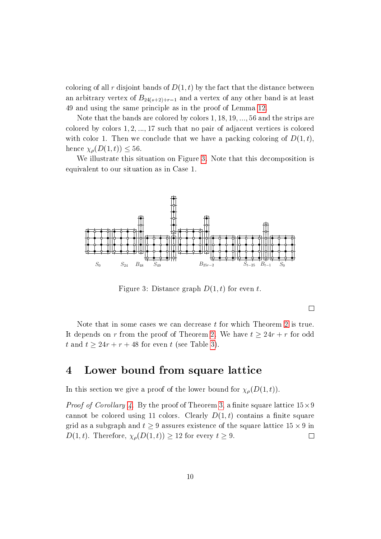coloring of all r disjoint bands of  $D(1,t)$  by the fact that the distance between an arbitrary vertex of  $B_{24(s+2)+r-1}$  and a vertex of any other band is at least 49 and using the same principle as in the proof of Lemma [12.](#page-6-3)

Note that the bands are colored by colors  $1, 18, 19, \ldots, 56$  and the strips are colored by colors  $1, 2, \ldots, 17$  such that no pair of adjacent vertices is colored with color 1. Then we conclude that we have a packing coloring of  $D(1,t)$ , hence  $\chi_{\rho}(D(1,t)) \leq 56$ .

We illustrate this situation on Figure [3.](#page-9-0) Note that this decomposition is equivalent to our situation as in Case 1.



<span id="page-9-0"></span>Figure 3: Distance graph  $D(1, t)$  for even t.

 $\Box$ 

Note that in some cases we can decrease  $t$  for which Theorem [2](#page-2-2) is true. It depends on r from the proof of Theorem [2.](#page-2-2) We have  $t \geq 24r + r$  for odd t and  $t \geq 24r + r + 48$  for even t (see Table [3\)](#page-10-0).

## 4 Lower bound from square lattice

In this section we give a proof of the lower bound for  $\chi_{\rho}(D(1,t))$ .

*Proof of Corollary [4.](#page-3-1)* By the proof of Theorem [3,](#page-3-2) a finite square lattice  $15\times9$ cannot be colored using 11 colors. Clearly  $D(1,t)$  contains a finite square grid as a subgraph and  $t\geq 9$  assures existence of the square lattice  $15\times 9$  in  $D(1, t)$ . Therefore,  $\chi_{\rho}(D(1, t)) \geq 12$  for every  $t \geq 9$ .  $\Box$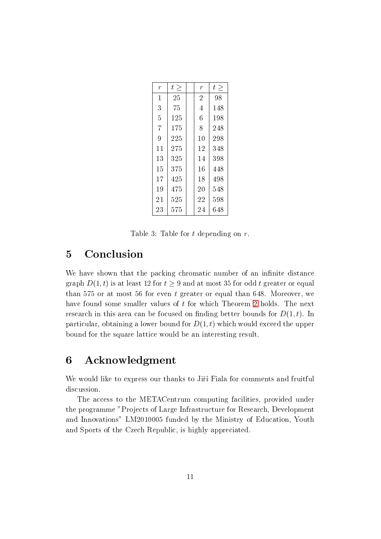| $\overline{r}$ | t > | $\overline{r}$ | t > |
|----------------|-----|----------------|-----|
| $\mathbf{1}$   | 25  | $\overline{2}$ | 98  |
| 3              | 75  | $\overline{4}$ | 148 |
| 5              | 125 | 6              | 198 |
| $\overline{7}$ | 175 | 8              | 248 |
| 9              | 225 | 10             | 298 |
| 11             | 275 | 12             | 348 |
| 13             | 325 | 14             | 398 |
| 15             | 375 | 16             | 448 |
| 17             | 425 | 18             | 498 |
| 19             | 475 | 20             | 548 |
| 21             | 525 | 22             | 598 |
| 23             | 575 | 24             | 648 |

<span id="page-10-0"></span>Table 3: Table for t depending on r.

## 5 Conclusion

We have shown that the packing chromatic number of an infinite distance graph  $D(1, t)$  is at least 12 for  $t \geq 9$  and at most 35 for odd t greater or equal than 575 or at most 56 for even t greater or equal than 648. Moreover, we have found some smaller values of t for which Theorem [2](#page-2-2) holds. The next research in this area can be focused on finding better bounds for  $D(1, t)$ . In particular, obtaining a lower bound for  $D(1, t)$  which would exceed the upper bound for the square lattice would be an interesting result.

## 6 Acknowledgment

We would like to express our thanks to Jiří Fiala for comments and fruitful discussion.

The access to the METACentrum computing facilities, provided under the programme "Projects of Large Infrastructure for Research, Development and Innovations" LM2010005 funded by the Ministry of Education, Youth and Sports of the Czech Republic, is highly appreciated.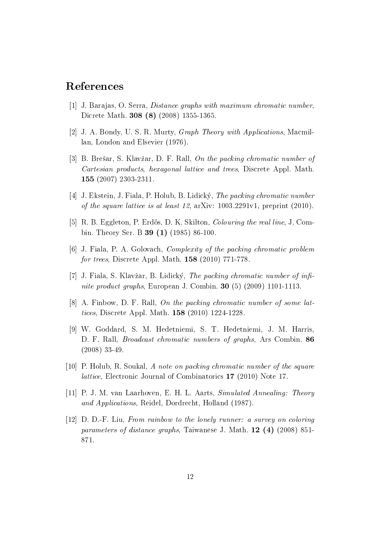## References

- <span id="page-11-10"></span>[1] J. Barajas, O. Serra, Distance graphs with maximum chromatic number, Dicrete Math. 308 (8) (2008) 1355-1365.
- <span id="page-11-0"></span>[2] J. A. Bondy, U. S. R. Murty, Graph Theory with Applications, Macmillan, London and Elsevier (1976).
- <span id="page-11-2"></span>[3] B. Brešar, S. Klavžar, D. F. Rall, On the packing chromatic number of Cartesian products, hexagonal lattice and trees, Discrete Appl. Math. 155 (2007) 2303-2311.
- <span id="page-11-6"></span>[4] J. Ekstein, J. Fiala, P. Holub, B. Lidický, The packing chromatic number of the square lattice is at least 12, arXiv: 1003.2291v1, preprint (2010).
- <span id="page-11-8"></span>[5] R. B. Eggleton, P. Erdös, D. K. Skilton, *Colouring the real line*, J. Combin. Theory Ser. B **39 (1)** (1985) 86-100.
- <span id="page-11-3"></span>[6] J. Fiala, P. A. Golovach, Complexity of the packing chromatic problem for trees, Discrete Appl. Math. 158 (2010) 771-778.
- <span id="page-11-4"></span>[7] J. Fiala, S. Klavžar, B. Lidický, The packing chromatic number of infinite product graphs, European J. Combin. 30 (5) (2009) 1101-1113.
- <span id="page-11-7"></span> $|8|$  A. Finbow, D. F. Rall, On the packing chromatic number of some lattices, Discrete Appl. Math. 158 (2010) 1224-1228.
- <span id="page-11-1"></span>[9] W. Goddard, S. M. Hedetniemi, S. T. Hedetniemi, J. M. Harris, D. F. Rall, Broadcast chromatic numbers of graphs, Ars Combin. 86 (2008) 33-49.
- <span id="page-11-5"></span>[10] P. Holub, R. Soukal, A note on packing chromatic number of the square lattice, Electronic Journal of Combinatorics 17 (2010) Note 17.
- <span id="page-11-11"></span>[11] P. J. M. van Laarhoven, E. H. L. Aarts, Simulated Annealing: Theory and Applications, Reidel, Dordrecht, Holland (1987).
- <span id="page-11-9"></span>[12] D. D.-F. Liu, From rainbow to the lonely runner: a survey on coloring parameters of distance graphs, Taiwanese J. Math. 12 (4) (2008) 851- 871.